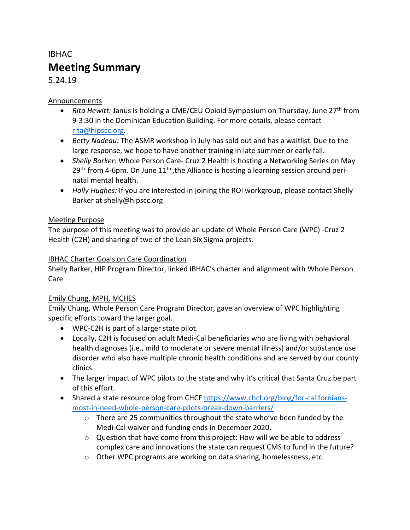# IBHAC **Meeting Summary**

5.24.19

#### Announcements

- *Rita Hewitt:* Janus is holding a CME/CEU Opioid Symposium on Thursday, June 27<sup>th</sup> from 9-3:30 in the Dominican Education Building. For more details, please contact [rita@hipscc.org.](mailto:rita@hipscc.org)
- *Betty Nadeau:* The ASMR workshop in July has sold out and has a waitlist. Due to the large response, we hope to have another training in late summer or early fall.
- *Shelly Barker*: Whole Person Care- Cruz 2 Health is hosting a Networking Series on May  $29<sup>th</sup>$  from 4-6pm. On June  $11<sup>th</sup>$ , the Alliance is hosting a learning session around perinatal mental health.
- *Holly Hughes:* If you are interested in joining the ROI workgroup, please contact Shelly Barker at shelly@hipscc.org

#### Meeting Purpose

The purpose of this meeting was to provide an update of Whole Person Care (WPC) -Cruz 2 Health (C2H) and sharing of two of the Lean Six Sigma projects.

#### IBHAC Charter Goals on Care Coordination

Shelly Barker, HIP Program Director, linked IBHAC's charter and alignment with Whole Person Care

#### Emily Chung, MPH, MCHES

Emily Chung, Whole Person Care Program Director, gave an overview of WPC highlighting specific efforts toward the larger goal.

- WPC-C2H is part of a larger state pilot.
- Locally, C2H is focused on adult Medi-Cal beneficiaries who are living with behavioral health diagnoses (i.e., mild to moderate or severe mental illness) and/or substance use disorder who also have multiple chronic health conditions and are served by our county clinics.
- The larger impact of WPC pilots to the state and why it's critical that Santa Cruz be part of this effort.
- Shared a state resource blog from CHCF [https://www.chcf.org/blog/for-californians](https://www.chcf.org/blog/for-californians-most-in-need-whole-person-care-pilots-break-down-barriers/)[most-in-need-whole-person-care-pilots-break-down-barriers/](https://www.chcf.org/blog/for-californians-most-in-need-whole-person-care-pilots-break-down-barriers/)
	- $\circ$  There are 25 communities throughout the state who've been funded by the Medi-Cal waiver and funding ends in December 2020.
	- $\circ$  Question that have come from this project: How will we be able to address complex care and innovations the state can request CMS to fund in the future?
	- o Other WPC programs are working on data sharing, homelessness, etc.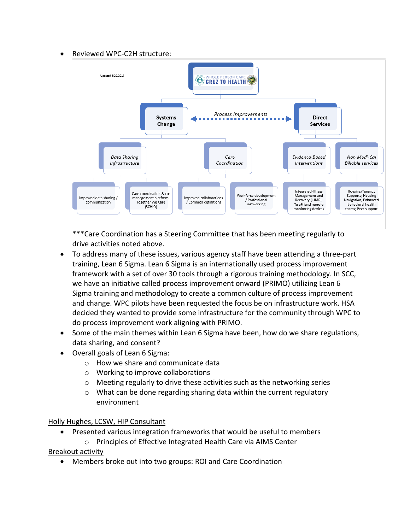#### Reviewed WPC-C2H structure:



\*\*\*Care Coordination has a Steering Committee that has been meeting regularly to drive activities noted above.

- To address many of these issues, various agency staff have been attending a three-part training, Lean 6 Sigma. Lean 6 Sigma is an internationally used process improvement framework with a set of over 30 tools through a rigorous training methodology. In SCC, we have an initiative called process improvement onward (PRIMO) utilizing Lean 6 Sigma training and methodology to create a common culture of process improvement and change. WPC pilots have been requested the focus be on infrastructure work. HSA decided they wanted to provide some infrastructure for the community through WPC to do process improvement work aligning with PRIMO.
- Some of the main themes within Lean 6 Sigma have been, how do we share regulations, data sharing, and consent?
- Overall goals of Lean 6 Sigma:
	- o How we share and communicate data
	- o Working to improve collaborations
	- o Meeting regularly to drive these activities such as the networking series
	- $\circ$  What can be done regarding sharing data within the current regulatory environment

#### Holly Hughes, LCSW, HIP Consultant

- Presented various integration frameworks that would be useful to members
	- o Principles of Effective Integrated Health Care via AIMS Center

Breakout activity

• Members broke out into two groups: ROI and Care Coordination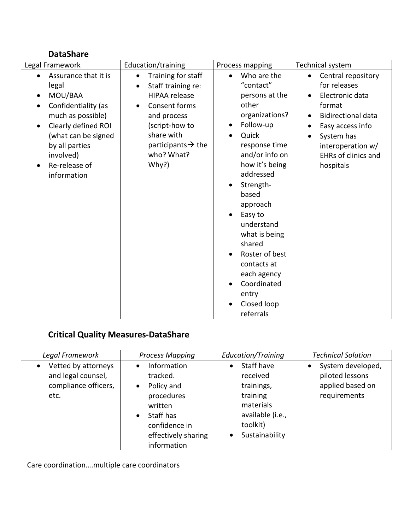### **DataShare**

| Legal Framework                                                                                                                                                                                                                                                    | Education/training                                                                                                                                                                                                               | Process mapping                                                                                                                                                                                                                                                                                                                                         | Technical system                                                                                                                                                                                            |
|--------------------------------------------------------------------------------------------------------------------------------------------------------------------------------------------------------------------------------------------------------------------|----------------------------------------------------------------------------------------------------------------------------------------------------------------------------------------------------------------------------------|---------------------------------------------------------------------------------------------------------------------------------------------------------------------------------------------------------------------------------------------------------------------------------------------------------------------------------------------------------|-------------------------------------------------------------------------------------------------------------------------------------------------------------------------------------------------------------|
| Assurance that it is<br>$\bullet$<br>legal<br>MOU/BAA<br>$\bullet$<br>Confidentiality (as<br>$\bullet$<br>much as possible)<br>Clearly defined ROI<br>$\bullet$<br>(what can be signed<br>by all parties<br>involved)<br>Re-release of<br>$\bullet$<br>information | Training for staff<br>$\bullet$<br>Staff training re:<br>$\bullet$<br><b>HIPAA</b> release<br>Consent forms<br>$\bullet$<br>and process<br>(script-how to<br>share with<br>participants $\rightarrow$ the<br>who? What?<br>Why?) | Who are the<br>"contact"<br>persons at the<br>other<br>organizations?<br>Follow-up<br>Quick<br>response time<br>and/or info on<br>how it's being<br>addressed<br>Strength-<br>based<br>approach<br>Easy to<br>understand<br>what is being<br>shared<br>Roster of best<br>contacts at<br>each agency<br>Coordinated<br>entry<br>Closed loop<br>referrals | Central repository<br>$\bullet$<br>for releases<br>Electronic data<br>format<br><b>Bidirectional data</b><br>Easy access info<br>System has<br>interoperation w/<br><b>EHRs of clinics and</b><br>hospitals |

## **Critical Quality Measures-DataShare**

| Legal Framework                                                                        | <b>Process Mapping</b>                                                                                                                                                    | Education/Training                                                                                              | <b>Technical Solution</b>                                                |
|----------------------------------------------------------------------------------------|---------------------------------------------------------------------------------------------------------------------------------------------------------------------------|-----------------------------------------------------------------------------------------------------------------|--------------------------------------------------------------------------|
| Vetted by attorneys<br>$\bullet$<br>and legal counsel,<br>compliance officers,<br>etc. | Information<br>$\bullet$<br>tracked.<br>Policy and<br>$\bullet$<br>procedures<br>written<br>Staff has<br>$\bullet$<br>confidence in<br>effectively sharing<br>information | Staff have<br>received<br>trainings,<br>training<br>materials<br>available (i.e.,<br>toolkit)<br>Sustainability | System developed,<br>piloted lessons<br>applied based on<br>requirements |

Care coordination….multiple care coordinators